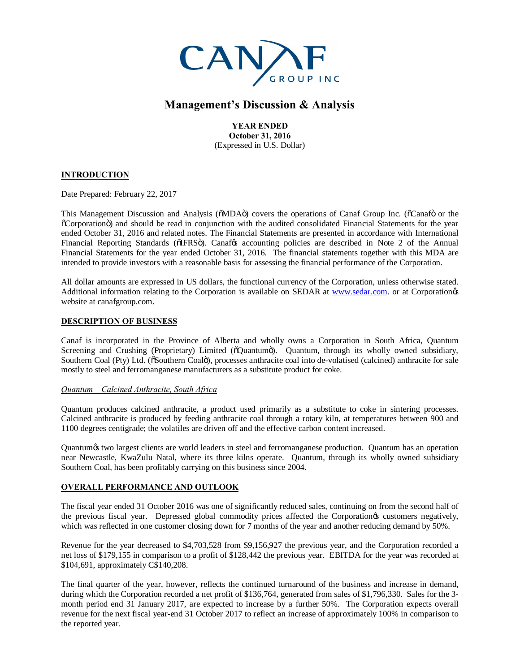

# **Management's Discussion & Analysis**

**YEAR ENDED October 31, 2016** (Expressed in U.S. Dollar)

# **INTRODUCTION**

Date Prepared: February 22, 2017

This Management Discussion and Analysis ( $\delta MDA\ddot{o}$ ) covers the operations of Canaf Group Inc. ( $\delta C$ anaf $\ddot{o}$  or the "Corporation") and should be read in conjunction with the audited consolidated Financial Statements for the year ended October 31, 2016 and related notes. The Financial Statements are presented in accordance with International Financial Reporting Standards ( $\delta$ IFRS $\delta$ ). Canaf $\delta$ s accounting policies are described in Note 2 of the Annual Financial Statements for the year ended October 31, 2016. The financial statements together with this MDA are intended to provide investors with a reasonable basis for assessing the financial performance of the Corporation.

All dollar amounts are expressed in US dollars, the functional currency of the Corporation, unless otherwise stated. Additional information relating to the Corporation is available on SEDAR at [www.sedar.com.](http://www.sedar.com/) or at Corporation  $\alpha$ website at canafgroup.com.

#### **DESCRIPTION OF BUSINESS**

Canaf is incorporated in the Province of Alberta and wholly owns a Corporation in South Africa, Quantum Screening and Crushing (Proprietary) Limited ( $\tilde{o}$ Quantum $\tilde{o}$ ). Quantum, through its wholly owned subsidiary, Southern Coal (Pty) Ltd. ( $\delta$ Southern Coal $\ddot{o}$ ), processes anthracite coal into de-volatised (calcined) anthracite for sale mostly to steel and ferromanganese manufacturers as a substitute product for coke.

#### *Quantum – Calcined Anthracite, South Africa*

Quantum produces calcined anthracite, a product used primarily as a substitute to coke in sintering processes. Calcined anthracite is produced by feeding anthracite coal through a rotary kiln, at temperatures between 900 and 1100 degrees centigrade; the volatiles are driven off and the effective carbon content increased.

Quantum's two largest clients are world leaders in steel and ferromanganese production. Quantum has an operation near Newcastle, KwaZulu Natal, where its three kilns operate. Quantum, through its wholly owned subsidiary Southern Coal, has been profitably carrying on this business since 2004.

### **OVERALL PERFORMANCE AND OUTLOOK**

The fiscal year ended 31 October 2016 was one of significantly reduced sales, continuing on from the second half of the previous fiscal year. Depressed global commodity prices affected the Corporation $\alpha$  customers negatively, which was reflected in one customer closing down for 7 months of the year and another reducing demand by 50%.

Revenue for the year decreased to \$4,703,528 from \$9,156,927 the previous year, and the Corporation recorded a net loss of \$179,155 in comparison to a profit of \$128,442 the previous year. EBITDA for the year was recorded at \$104,691, approximately C\$140,208.

The final quarter of the year, however, reflects the continued turnaround of the business and increase in demand, during which the Corporation recorded a net profit of \$136,764, generated from sales of \$1,796,330. Sales for the 3month period end 31 January 2017, are expected to increase by a further 50%. The Corporation expects overall revenue for the next fiscal year-end 31 October 2017 to reflect an increase of approximately 100% in comparison to the reported year.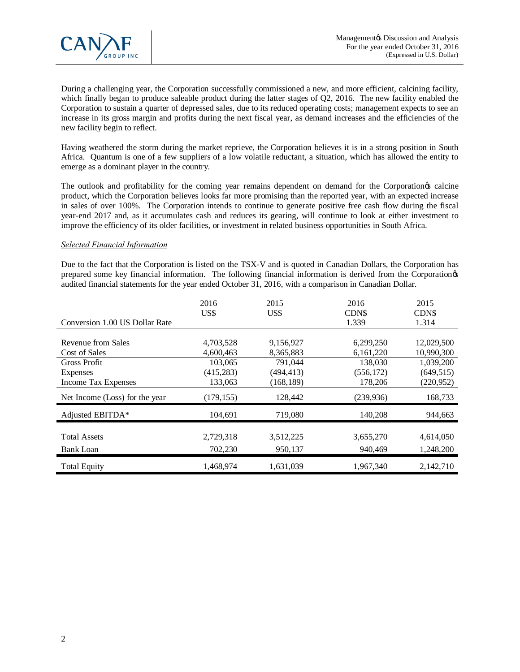

During a challenging year, the Corporation successfully commissioned a new, and more efficient, calcining facility, which finally began to produce saleable product during the latter stages of Q2, 2016. The new facility enabled the Corporation to sustain a quarter of depressed sales, due to its reduced operating costs; management expects to see an increase in its gross margin and profits during the next fiscal year, as demand increases and the efficiencies of the new facility begin to reflect.

Having weathered the storm during the market reprieve, the Corporation believes it is in a strong position in South Africa. Quantum is one of a few suppliers of a low volatile reductant, a situation, which has allowed the entity to emerge as a dominant player in the country.

The outlook and profitability for the coming year remains dependent on demand for the Corporation's calcine product, which the Corporation believes looks far more promising than the reported year, with an expected increase in sales of over 100%. The Corporation intends to continue to generate positive free cash flow during the fiscal year-end 2017 and, as it accumulates cash and reduces its gearing, will continue to look at either investment to improve the efficiency of its older facilities, or investment in related business opportunities in South Africa.

# *Selected Financial Information*

Due to the fact that the Corporation is listed on the TSX-V and is quoted in Canadian Dollars, the Corporation has prepared some key financial information. The following financial information is derived from the Corporation& audited financial statements for the year ended October 31, 2016, with a comparison in Canadian Dollar.

|                                | 2016<br>US\$ | 2015<br>US\$ | 2016<br><b>CDNS</b> | 2015<br>CDN <sub>\$</sub> |
|--------------------------------|--------------|--------------|---------------------|---------------------------|
| Conversion 1.00 US Dollar Rate |              |              | 1.339               | 1.314                     |
|                                |              |              |                     |                           |
| Revenue from Sales             | 4,703,528    | 9,156,927    | 6,299,250           | 12,029,500                |
| Cost of Sales                  | 4,600,463    | 8,365,883    | 6,161,220           | 10,990,300                |
| Gross Profit                   | 103,065      | 791,044      | 138,030             | 1,039,200                 |
| <b>Expenses</b>                | (415, 283)   | (494, 413)   | (556, 172)          | (649, 515)                |
| Income Tax Expenses            | 133,063      | (168,189)    | 178,206             | (220, 952)                |
| Net Income (Loss) for the year | (179, 155)   | 128,442      | (239, 936)          | 168,733                   |
| Adjusted EBITDA*               | 104,691      | 719,080      | 140,208             | 944,663                   |
|                                |              |              |                     |                           |
| <b>Total Assets</b>            | 2,729,318    | 3,512,225    | 3,655,270           | 4,614,050                 |
| Bank Loan                      | 702,230      | 950,137      | 940,469             | 1,248,200                 |
| <b>Total Equity</b>            | 1,468,974    | 1,631,039    | 1,967,340           | 2,142,710                 |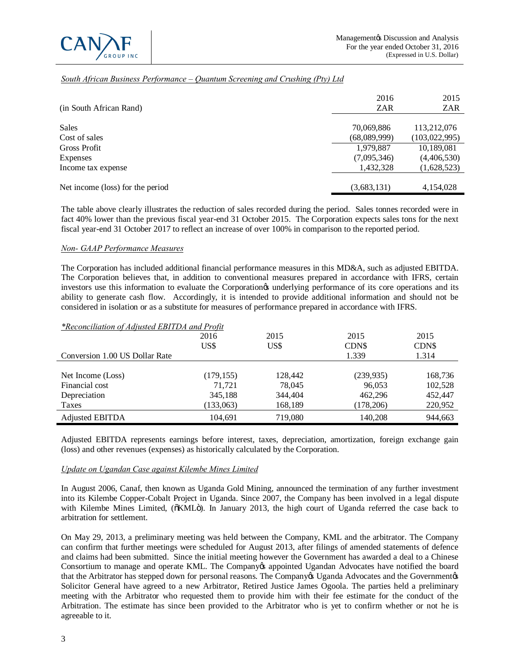

# *South African Business Performance – Quantum Screening and Crushing (Pty) Ltd*

|                                  | 2016         | 2015            |
|----------------------------------|--------------|-----------------|
| (in South African Rand)          | ZAR          | ZAR             |
|                                  |              |                 |
| Sales                            | 70,069,886   | 113,212,076     |
| Cost of sales                    | (68,089,999) | (103, 022, 995) |
| <b>Gross Profit</b>              | 1,979,887    | 10,189,081      |
| Expenses                         | (7,095,346)  | (4,406,530)     |
| Income tax expense               | 1,432,328    | (1,628,523)     |
| Net income (loss) for the period | (3,683,131)  | 4,154,028       |

The table above clearly illustrates the reduction of sales recorded during the period. Sales tonnes recorded were in fact 40% lower than the previous fiscal year-end 31 October 2015. The Corporation expects sales tons for the next fiscal year-end 31 October 2017 to reflect an increase of over 100% in comparison to the reported period.

### *Non- GAAP Performance Measures*

The Corporation has included additional financial performance measures in this MD&A, such as adjusted EBITDA. The Corporation believes that, in addition to conventional measures prepared in accordance with IFRS, certain investors use this information to evaluate the Corporation<sup>g</sup> underlying performance of its core operations and its ability to generate cash flow. Accordingly, it is intended to provide additional information and should not be considered in isolation or as a substitute for measures of performance prepared in accordance with IFRS.

#### *\*Reconciliation of Adjusted EBITDA and Profit*

|                                | 2016       | 2015    | 2015       | 2015    |
|--------------------------------|------------|---------|------------|---------|
|                                | US\$       | US\$    | CDN\$      | CDN\$   |
| Conversion 1.00 US Dollar Rate |            |         | 1.339      | 1.314   |
|                                |            |         |            |         |
| Net Income (Loss)              | (179, 155) | 128,442 | (239, 935) | 168,736 |
| Financial cost                 | 71.721     | 78,045  | 96,053     | 102,528 |
| Depreciation                   | 345,188    | 344,404 | 462,296    | 452,447 |
| Taxes                          | (133,063)  | 168,189 | (178,206)  | 220,952 |
| <b>Adjusted EBITDA</b>         | 104.691    | 719.080 | 140.208    | 944,663 |

Adjusted EBITDA represents earnings before interest, taxes, depreciation, amortization, foreign exchange gain (loss) and other revenues (expenses) as historically calculated by the Corporation.

#### *Update on Ugandan Case against Kilembe Mines Limited*

In August 2006, Canaf, then known as Uganda Gold Mining, announced the termination of any further investment into its Kilembe Copper-Cobalt Project in Uganda. Since 2007, the Company has been involved in a legal dispute with Kilembe Mines Limited, ( $\delta$ KML $\ddot{o}$ ). In January 2013, the high court of Uganda referred the case back to arbitration for settlement.

On May 29, 2013, a preliminary meeting was held between the Company, KML and the arbitrator. The Company can confirm that further meetings were scheduled for August 2013, after filings of amended statements of defence and claims had been submitted. Since the initial meeting however the Government has awarded a deal to a Chinese Consortium to manage and operate KML. The Company & appointed Ugandan Advocates have notified the board that the Arbitrator has stepped down for personal reasons. The Company& Uganda Advocates and the Government& Solicitor General have agreed to a new Arbitrator, Retired Justice James Ogoola. The parties held a preliminary meeting with the Arbitrator who requested them to provide him with their fee estimate for the conduct of the Arbitration. The estimate has since been provided to the Arbitrator who is yet to confirm whether or not he is agreeable to it.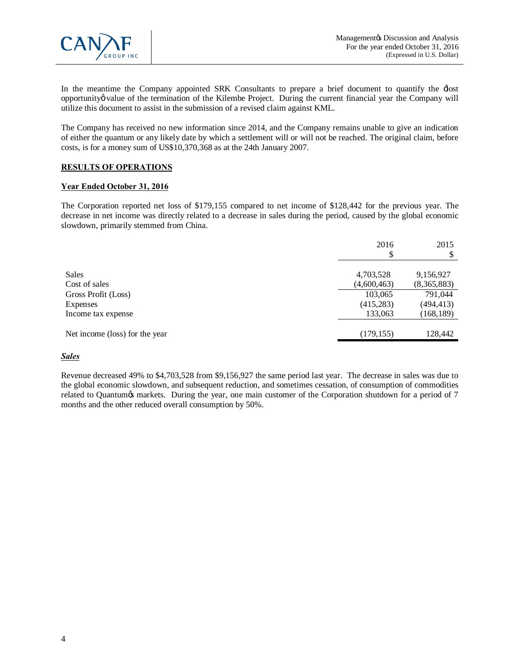

In the meantime the Company appointed SRK Consultants to prepare a brief document to quantify the  $\exists$ ost opportunity walue of the termination of the Kilembe Project. During the current financial year the Company will utilize this document to assist in the submission of a revised claim against KML.

The Company has received no new information since 2014, and the Company remains unable to give an indication of either the quantum or any likely date by which a settlement will or will not be reached. The original claim, before costs, is for a money sum of US\$10,370,368 as at the 24th January 2007.

### **RESULTS OF OPERATIONS**

# **Year Ended October 31, 2016**

The Corporation reported net loss of \$179,155 compared to net income of \$128,442 for the previous year. The decrease in net income was directly related to a decrease in sales during the period, caused by the global economic slowdown, primarily stemmed from China.

|                                | 2016<br>S   | 2015        |
|--------------------------------|-------------|-------------|
| Sales                          | 4,703,528   | 9,156,927   |
| Cost of sales                  | (4,600,463) | (8,365,883) |
| Gross Profit (Loss)            | 103,065     | 791,044     |
| <b>Expenses</b>                | (415, 283)  | (494, 413)  |
| Income tax expense             | 133,063     | (168, 189)  |
| Net income (loss) for the year | (179, 155)  | 128,442     |

### *Sales*

Revenue decreased 49% to \$4,703,528 from \$9,156,927 the same period last year. The decrease in sales was due to the global economic slowdown, and subsequent reduction, and sometimes cessation, of consumption of commodities related to Quantum & markets. During the year, one main customer of the Corporation shutdown for a period of 7 months and the other reduced overall consumption by 50%.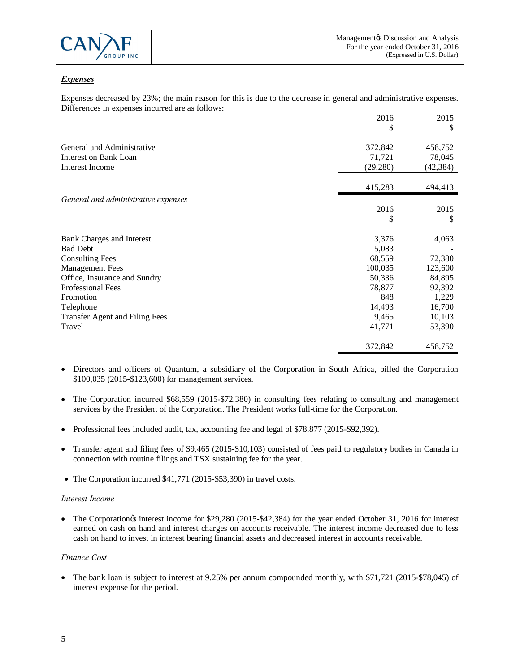

# *Expenses*

Expenses decreased by 23%; the main reason for this is due to the decrease in general and administrative expenses. Differences in expenses incurred are as follows:

|                                     | 2016      | 2015      |
|-------------------------------------|-----------|-----------|
|                                     | \$        | \$        |
| General and Administrative          | 372,842   | 458,752   |
| <b>Interest on Bank Loan</b>        | 71,721    | 78,045    |
| Interest Income                     | (29, 280) | (42, 384) |
|                                     | 415,283   | 494,413   |
| General and administrative expenses |           |           |
|                                     | 2016      | 2015      |
|                                     | \$        | \$        |
| <b>Bank Charges and Interest</b>    | 3,376     | 4,063     |
| <b>Bad Debt</b>                     | 5,083     |           |
| <b>Consulting Fees</b>              | 68,559    | 72,380    |
| <b>Management Fees</b>              | 100,035   | 123,600   |
| Office, Insurance and Sundry        | 50,336    | 84,895    |
| Professional Fees                   | 78,877    | 92,392    |
| Promotion                           | 848       | 1,229     |
| Telephone                           | 14,493    | 16,700    |
| Transfer Agent and Filing Fees      | 9,465     | 10,103    |
| Travel                              | 41,771    | 53,390    |
|                                     | 372,842   | 458,752   |

- · Directors and officers of Quantum, a subsidiary of the Corporation in South Africa, billed the Corporation \$100,035 (2015-\$123,600) for management services.
- The Corporation incurred \$68,559 (2015-\$72,380) in consulting fees relating to consulting and management services by the President of the Corporation. The President works full-time for the Corporation.
- · Professional fees included audit, tax, accounting fee and legal of \$78,877 (2015-\$92,392).
- · Transfer agent and filing fees of \$9,465 (2015-\$10,103) consisted of fees paid to regulatory bodies in Canada in connection with routine filings and TSX sustaining fee for the year.
- The Corporation incurred \$41,771 (2015-\$53,390) in travel costs.

#### *Interest Income*

• The Corporation is interest income for \$29,280 (2015-\$42,384) for the year ended October 31, 2016 for interest earned on cash on hand and interest charges on accounts receivable. The interest income decreased due to less cash on hand to invest in interest bearing financial assets and decreased interest in accounts receivable.

#### *Finance Cost*

• The bank loan is subject to interest at 9.25% per annum compounded monthly, with \$71,721 (2015-\$78,045) of interest expense for the period.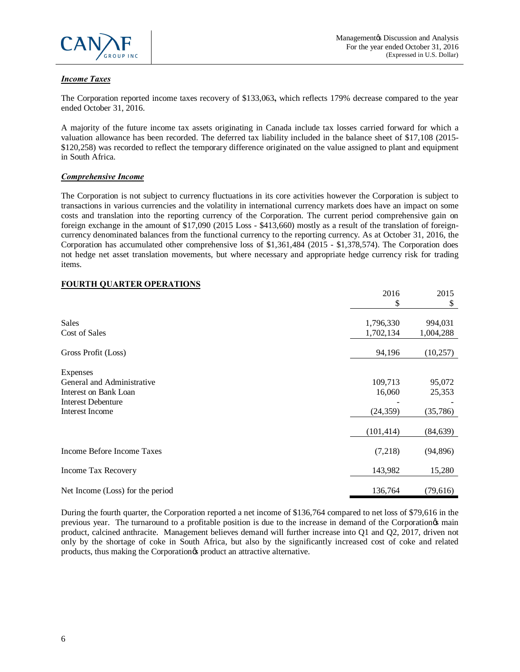

# *Income Taxes*

The Corporation reported income taxes recovery of \$133,063**,** which reflects 179% decrease compared to the year ended October 31, 2016.

A majority of the future income tax assets originating in Canada include tax losses carried forward for which a valuation allowance has been recorded. The deferred tax liability included in the balance sheet of \$17,108 (2015- \$120,258) was recorded to reflect the temporary difference originated on the value assigned to plant and equipment in South Africa.

# *Comprehensive Income*

The Corporation is not subject to currency fluctuations in its core activities however the Corporation is subject to transactions in various currencies and the volatility in international currency markets does have an impact on some costs and translation into the reporting currency of the Corporation. The current period comprehensive gain on foreign exchange in the amount of \$17,090 (2015 Loss - \$413,660) mostly as a result of the translation of foreigncurrency denominated balances from the functional currency to the reporting currency. As at October 31, 2016, the Corporation has accumulated other comprehensive loss of \$1,361,484 (2015 - \$1,378,574). The Corporation does not hedge net asset translation movements, but where necessary and appropriate hedge currency risk for trading items.

# **FOURTH QUARTER OPERATIONS**

|                                  | 2016       | 2015      |
|----------------------------------|------------|-----------|
|                                  | \$         | \$        |
|                                  |            |           |
| <b>Sales</b>                     | 1,796,330  | 994,031   |
| Cost of Sales                    | 1,702,134  | 1,004,288 |
| Gross Profit (Loss)              | 94,196     | (10, 257) |
| Expenses                         |            |           |
| General and Administrative       | 109,713    | 95,072    |
|                                  |            |           |
| Interest on Bank Loan            | 16,060     | 25,353    |
| <b>Interest Debenture</b>        |            |           |
| Interest Income                  | (24, 359)  | (35,786)  |
|                                  |            |           |
|                                  | (101, 414) | (84, 639) |
| Income Before Income Taxes       | (7,218)    | (94, 896) |
| Income Tax Recovery              | 143,982    | 15,280    |
| Net Income (Loss) for the period | 136,764    | (79,616)  |

During the fourth quarter, the Corporation reported a net income of \$136,764 compared to net loss of \$79,616 in the previous year. The turnaround to a profitable position is due to the increase in demand of the Corporation's main product, calcined anthracite. Management believes demand will further increase into Q1 and Q2, 2017, driven not only by the shortage of coke in South Africa, but also by the significantly increased cost of coke and related products, thus making the Corporation's product an attractive alternative.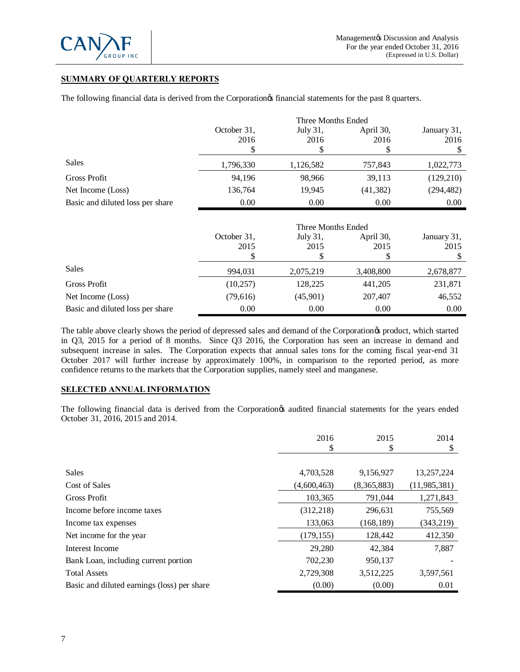

# **SUMMARY OF QUARTERLY REPORTS**

The following financial data is derived from the Corporation  $\beta$  financial statements for the past 8 quarters.

|                                  | Three Months Ended |           |           |             |
|----------------------------------|--------------------|-----------|-----------|-------------|
|                                  | October 31,        | July 31,  | April 30, | January 31, |
|                                  | 2016               | 2016      | 2016      | 2016        |
|                                  |                    |           |           |             |
| <b>Sales</b>                     | 1,796,330          | 1,126,582 | 757,843   | 1,022,773   |
| <b>Gross Profit</b>              | 94.196             | 98,966    | 39,113    | (129, 210)  |
| Net Income (Loss)                | 136,764            | 19,945    | (41, 382) | (294, 482)  |
| Basic and diluted loss per share | 0.00               | 0.00      | 0.00      | 0.00        |

|                                  |                     | Three Months Ended |                        |                     |
|----------------------------------|---------------------|--------------------|------------------------|---------------------|
|                                  | October 31,<br>2015 | July 31,<br>2015   | April 30,<br>2015<br>S | January 31,<br>2015 |
| <b>Sales</b>                     | 994,031             | 2,075,219          | 3,408,800              | 2,678,877           |
| Gross Profit                     | (10,257)            | 128,225            | 441,205                | 231,871             |
| Net Income (Loss)                | (79,616)            | (45,901)           | 207,407                | 46,552              |
| Basic and diluted loss per share | 0.00                | 0.00               | 0.00                   | 0.00                |

The table above clearly shows the period of depressed sales and demand of the Corporation's product, which started in Q3, 2015 for a period of 8 months. Since Q3 2016, the Corporation has seen an increase in demand and subsequent increase in sales. The Corporation expects that annual sales tons for the coming fiscal year-end 31 October 2017 will further increase by approximately 100%, in comparison to the reported period, as more confidence returns to the markets that the Corporation supplies, namely steel and manganese.

### **SELECTED ANNUAL INFORMATION**

The following financial data is derived from the Corporation & audited financial statements for the years ended October 31, 2016, 2015 and 2014.

|                                             | 2016        | 2015        | 2014           |
|---------------------------------------------|-------------|-------------|----------------|
|                                             | \$          | \$          | \$             |
| <b>Sales</b>                                | 4,703,528   | 9,156,927   | 13,257,224     |
| Cost of Sales                               | (4,600,463) | (8,365,883) | (11, 985, 381) |
| <b>Gross Profit</b>                         | 103,365     | 791,044     | 1,271,843      |
| Income before income taxes                  | (312, 218)  | 296,631     | 755,569        |
| Income tax expenses                         | 133,063     | (168, 189)  | (343, 219)     |
| Net income for the year.                    | (179, 155)  | 128,442     | 412,350        |
| Interest Income                             | 29,280      | 42,384      | 7,887          |
| Bank Loan, including current portion        | 702,230     | 950,137     |                |
| <b>Total Assets</b>                         | 2,729,308   | 3,512,225   | 3,597,561      |
| Basic and diluted earnings (loss) per share | (0.00)      | (0.00)      | 0.01           |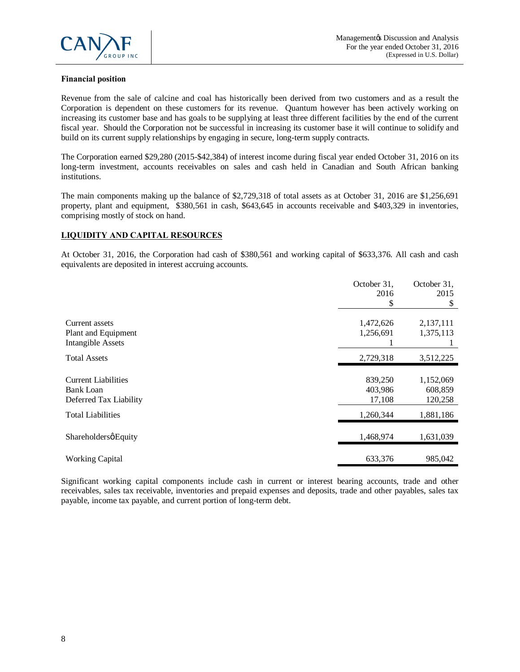

# **Financial position**

Revenue from the sale of calcine and coal has historically been derived from two customers and as a result the Corporation is dependent on these customers for its revenue. Quantum however has been actively working on increasing its customer base and has goals to be supplying at least three different facilities by the end of the current fiscal year. Should the Corporation not be successful in increasing its customer base it will continue to solidify and build on its current supply relationships by engaging in secure, long-term supply contracts.

The Corporation earned \$29,280 (2015-\$42,384) of interest income during fiscal year ended October 31, 2016 on its long-term investment, accounts receivables on sales and cash held in Canadian and South African banking institutions.

The main components making up the balance of \$2,729,318 of total assets as at October 31, 2016 are \$1,256,691 property, plant and equipment, \$380,561 in cash, \$643,645 in accounts receivable and \$403,329 in inventories, comprising mostly of stock on hand.

### **LIQUIDITY AND CAPITAL RESOURCES**

At October 31, 2016, the Corporation had cash of \$380,561 and working capital of \$633,376. All cash and cash equivalents are deposited in interest accruing accounts.

|                                                                          | October 31,<br>2016          | October 31,<br>2015             |
|--------------------------------------------------------------------------|------------------------------|---------------------------------|
|                                                                          | \$                           | \$                              |
| Current assets<br>Plant and Equipment<br><b>Intangible Assets</b>        | 1,472,626<br>1,256,691       | 2,137,111<br>1,375,113          |
| <b>Total Assets</b>                                                      | 2,729,318                    | 3,512,225                       |
| <b>Current Liabilities</b><br><b>Bank Loan</b><br>Deferred Tax Liability | 839,250<br>403,986<br>17,108 | 1,152,069<br>608,859<br>120,258 |
| <b>Total Liabilities</b>                                                 | 1,260,344                    | 1,881,186                       |
| ShareholdersøEquity                                                      | 1,468,974                    | 1,631,039                       |
| <b>Working Capital</b>                                                   | 633,376                      | 985,042                         |

Significant working capital components include cash in current or interest bearing accounts, trade and other receivables, sales tax receivable, inventories and prepaid expenses and deposits, trade and other payables, sales tax payable, income tax payable, and current portion of long-term debt.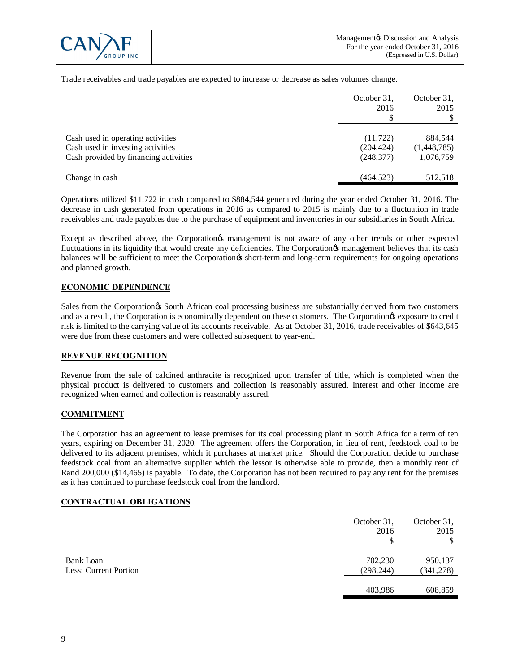

Trade receivables and trade payables are expected to increase or decrease as sales volumes change.

|                                                                            | October 31,<br>2016      | October 31,<br>2015      |
|----------------------------------------------------------------------------|--------------------------|--------------------------|
|                                                                            |                          |                          |
| Cash used in operating activities                                          | (11, 722)                | 884.544                  |
| Cash used in investing activities<br>Cash provided by financing activities | (204, 424)<br>(248, 377) | (1,448,785)<br>1,076,759 |
| Change in cash                                                             | (464,523)                | 512,518                  |

Operations utilized \$11,722 in cash compared to \$884,544 generated during the year ended October 31, 2016. The decrease in cash generated from operations in 2016 as compared to 2015 is mainly due to a fluctuation in trade receivables and trade payables due to the purchase of equipment and inventories in our subsidiaries in South Africa.

Except as described above, the Corporation & management is not aware of any other trends or other expected fluctuations in its liquidity that would create any deficiencies. The Corporation is management believes that its cash balances will be sufficient to meet the Corporation<sub>®</sub> short-term and long-term requirements for ongoing operations and planned growth.

### **ECONOMIC DEPENDENCE**

Sales from the Corporation & South African coal processing business are substantially derived from two customers and as a result, the Corporation is economically dependent on these customers. The Corporation's exposure to credit risk is limited to the carrying value of its accounts receivable. As at October 31, 2016, trade receivables of \$643,645 were due from these customers and were collected subsequent to year-end.

### **REVENUE RECOGNITION**

Revenue from the sale of calcined anthracite is recognized upon transfer of title, which is completed when the physical product is delivered to customers and collection is reasonably assured. Interest and other income are recognized when earned and collection is reasonably assured.

### **COMMITMENT**

The Corporation has an agreement to lease premises for its coal processing plant in South Africa for a term of ten years, expiring on December 31, 2020. The agreement offers the Corporation, in lieu of rent, feedstock coal to be delivered to its adjacent premises, which it purchases at market price. Should the Corporation decide to purchase feedstock coal from an alternative supplier which the lessor is otherwise able to provide, then a monthly rent of Rand 200,000 (\$14,465) is payable. To date, the Corporation has not been required to pay any rent for the premises as it has continued to purchase feedstock coal from the landlord.

#### **CONTRACTUAL OBLIGATIONS**

|                                           | October 31,<br>2016<br>\$ | October 31,<br>2015<br>\$ |
|-------------------------------------------|---------------------------|---------------------------|
| <b>Bank Loan</b><br>Less: Current Portion | 702,230<br>(298, 244)     | 950,137<br>(341, 278)     |
|                                           | 403,986                   | 608,859                   |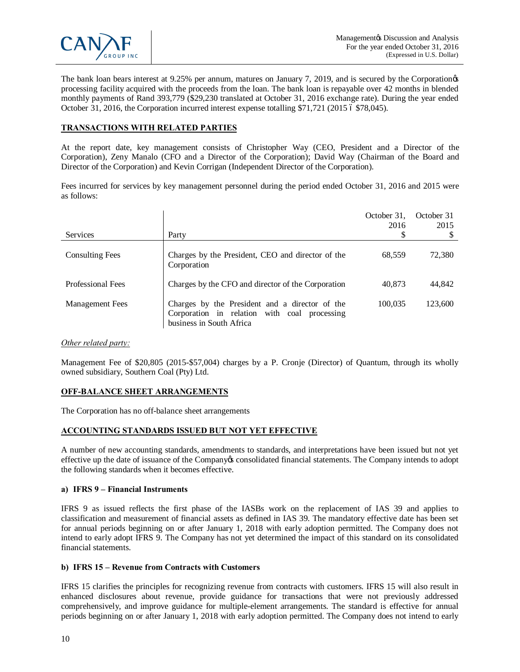

The bank loan bears interest at 9.25% per annum, matures on January 7, 2019, and is secured by the Corporation<sub>(S</sub>s processing facility acquired with the proceeds from the loan. The bank loan is repayable over 42 months in blended monthly payments of Rand 393,779 (\$29,230 translated at October 31, 2016 exchange rate). During the year ended October 31, 2016, the Corporation incurred interest expense totalling  $$71,721$  (2015 6  $$78,045$ ).

## **TRANSACTIONS WITH RELATED PARTIES**

At the report date, key management consists of Christopher Way (CEO, President and a Director of the Corporation), Zeny Manalo (CFO and a Director of the Corporation); David Way (Chairman of the Board and Director of the Corporation) and Kevin Corrigan (Independent Director of the Corporation).

Fees incurred for services by key management personnel during the period ended October 31, 2016 and 2015 were as follows:

| Services                 | Party                                                                                                                      | October 31,<br>2016<br>\$ | October 31<br>2015 |
|--------------------------|----------------------------------------------------------------------------------------------------------------------------|---------------------------|--------------------|
| <b>Consulting Fees</b>   | Charges by the President, CEO and director of the<br>Corporation                                                           | 68,559                    | 72,380             |
| <b>Professional Fees</b> | Charges by the CFO and director of the Corporation                                                                         | 40,873                    | 44,842             |
| <b>Management Fees</b>   | Charges by the President and a director of the<br>Corporation in relation with coal processing<br>business in South Africa | 100,035                   | 123,600            |

### *Other related party:*

Management Fee of \$20,805 (2015-\$57,004) charges by a P. Cronje (Director) of Quantum, through its wholly owned subsidiary, Southern Coal (Pty) Ltd.

### **OFF-BALANCE SHEET ARRANGEMENTS**

The Corporation has no off-balance sheet arrangements

### **ACCOUNTING STANDARDS ISSUED BUT NOT YET EFFECTIVE**

A number of new accounting standards, amendments to standards, and interpretations have been issued but not yet effective up the date of issuance of the Company's consolidated financial statements. The Company intends to adopt the following standards when it becomes effective.

### **a) IFRS 9 – Financial Instruments**

IFRS 9 as issued reflects the first phase of the IASBs work on the replacement of IAS 39 and applies to classification and measurement of financial assets as defined in IAS 39. The mandatory effective date has been set for annual periods beginning on or after January 1, 2018 with early adoption permitted. The Company does not intend to early adopt IFRS 9. The Company has not yet determined the impact of this standard on its consolidated financial statements.

### **b) IFRS 15 – Revenue from Contracts with Customers**

IFRS 15 clarifies the principles for recognizing revenue from contracts with customers. IFRS 15 will also result in enhanced disclosures about revenue, provide guidance for transactions that were not previously addressed comprehensively, and improve guidance for multiple-element arrangements. The standard is effective for annual periods beginning on or after January 1, 2018 with early adoption permitted. The Company does not intend to early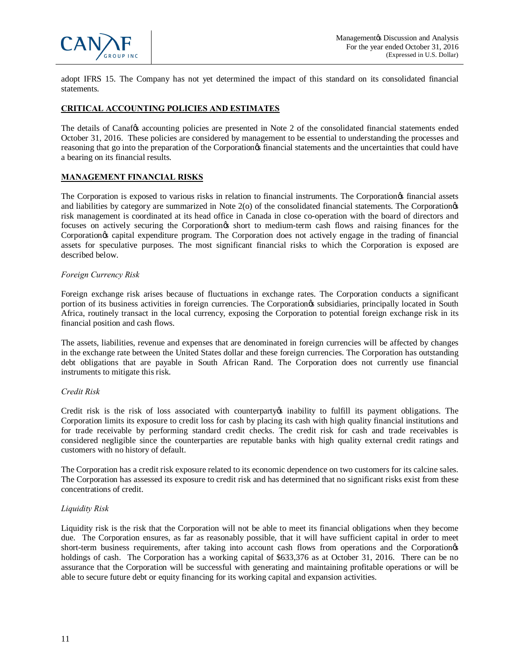

adopt IFRS 15. The Company has not yet determined the impact of this standard on its consolidated financial statements.

### **CRITICAL ACCOUNTING POLICIES AND ESTIMATES**

The details of Canaf $\alpha$  accounting policies are presented in Note 2 of the consolidated financial statements ended October 31, 2016. These policies are considered by management to be essential to understanding the processes and reasoning that go into the preparation of the Corporation's financial statements and the uncertainties that could have a bearing on its financial results.

### **MANAGEMENT FINANCIAL RISKS**

The Corporation is exposed to various risks in relation to financial instruments. The Corporation's financial assets and liabilities by category are summarized in Note 2(o) of the consolidated financial statements. The Corporationgs risk management is coordinated at its head office in Canada in close co-operation with the board of directors and focuses on actively securing the Corporation's short to medium-term cash flows and raising finances for the Corporation's capital expenditure program. The Corporation does not actively engage in the trading of financial assets for speculative purposes. The most significant financial risks to which the Corporation is exposed are described below.

#### *Foreign Currency Risk*

Foreign exchange risk arises because of fluctuations in exchange rates. The Corporation conducts a significant portion of its business activities in foreign currencies. The Corporation $\alpha$  subsidiaries, principally located in South Africa, routinely transact in the local currency, exposing the Corporation to potential foreign exchange risk in its financial position and cash flows.

The assets, liabilities, revenue and expenses that are denominated in foreign currencies will be affected by changes in the exchange rate between the United States dollar and these foreign currencies. The Corporation has outstanding debt obligations that are payable in South African Rand. The Corporation does not currently use financial instruments to mitigate this risk.

#### *Credit Risk*

Credit risk is the risk of loss associated with counterparty to fulfill its payment obligations. The Corporation limits its exposure to credit loss for cash by placing its cash with high quality financial institutions and for trade receivable by performing standard credit checks. The credit risk for cash and trade receivables is considered negligible since the counterparties are reputable banks with high quality external credit ratings and customers with no history of default.

The Corporation has a credit risk exposure related to its economic dependence on two customers for its calcine sales. The Corporation has assessed its exposure to credit risk and has determined that no significant risks exist from these concentrations of credit.

#### *Liquidity Risk*

Liquidity risk is the risk that the Corporation will not be able to meet its financial obligations when they become due. The Corporation ensures, as far as reasonably possible, that it will have sufficient capital in order to meet short-term business requirements, after taking into account cash flows from operations and the Corporationes holdings of cash. The Corporation has a working capital of \$633,376 as at October 31, 2016. There can be no assurance that the Corporation will be successful with generating and maintaining profitable operations or will be able to secure future debt or equity financing for its working capital and expansion activities.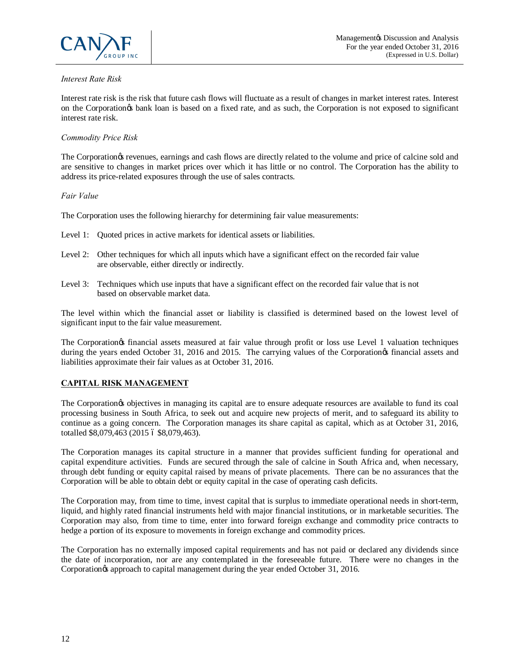

# *Interest Rate Risk*

Interest rate risk is the risk that future cash flows will fluctuate as a result of changes in market interest rates. Interest on the Corporation's bank loan is based on a fixed rate, and as such, the Corporation is not exposed to significant interest rate risk.

#### *Commodity Price Risk*

The Corporation<sub>'s</sub> revenues, earnings and cash flows are directly related to the volume and price of calcine sold and are sensitive to changes in market prices over which it has little or no control. The Corporation has the ability to address its price-related exposures through the use of sales contracts.

#### *Fair Value*

The Corporation uses the following hierarchy for determining fair value measurements:

- Level 1: Quoted prices in active markets for identical assets or liabilities.
- Level 2: Other techniques for which all inputs which have a significant effect on the recorded fair value are observable, either directly or indirectly.
- Level 3: Techniques which use inputs that have a significant effect on the recorded fair value that is not based on observable market data.

The level within which the financial asset or liability is classified is determined based on the lowest level of significant input to the fair value measurement.

The Corporation is financial assets measured at fair value through profit or loss use Level 1 valuation techniques during the years ended October 31, 2016 and 2015. The carrying values of the Corporation of financial assets and liabilities approximate their fair values as at October 31, 2016.

### **CAPITAL RISK MANAGEMENT**

The Corporation to objectives in managing its capital are to ensure adequate resources are available to fund its coal processing business in South Africa, to seek out and acquire new projects of merit, and to safeguard its ability to continue as a going concern. The Corporation manages its share capital as capital, which as at October 31, 2016, totalled \$8,079,463 (2015 6 \$8,079,463).

The Corporation manages its capital structure in a manner that provides sufficient funding for operational and capital expenditure activities. Funds are secured through the sale of calcine in South Africa and, when necessary, through debt funding or equity capital raised by means of private placements. There can be no assurances that the Corporation will be able to obtain debt or equity capital in the case of operating cash deficits.

The Corporation may, from time to time, invest capital that is surplus to immediate operational needs in short-term, liquid, and highly rated financial instruments held with major financial institutions, or in marketable securities. The Corporation may also, from time to time, enter into forward foreign exchange and commodity price contracts to hedge a portion of its exposure to movements in foreign exchange and commodity prices.

The Corporation has no externally imposed capital requirements and has not paid or declared any dividends since the date of incorporation, nor are any contemplated in the foreseeable future. There were no changes in the Corporation's approach to capital management during the year ended October 31, 2016.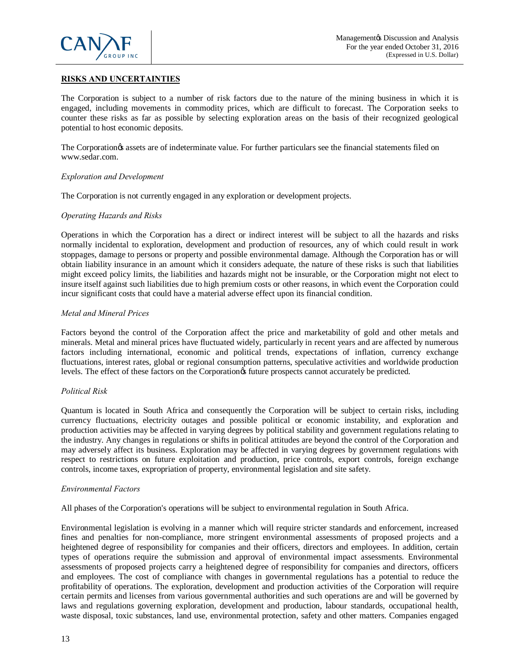

# **RISKS AND UNCERTAINTIES**

The Corporation is subject to a number of risk factors due to the nature of the mining business in which it is engaged, including movements in commodity prices, which are difficult to forecast. The Corporation seeks to counter these risks as far as possible by selecting exploration areas on the basis of their recognized geological potential to host economic deposits.

The Corporation<sub>os</sub> assets are of indeterminate value. For further particulars see the financial statements filed on www.sedar.com.

#### *Exploration and Development*

The Corporation is not currently engaged in any exploration or development projects.

#### *Operating Hazards and Risks*

Operations in which the Corporation has a direct or indirect interest will be subject to all the hazards and risks normally incidental to exploration, development and production of resources, any of which could result in work stoppages, damage to persons or property and possible environmental damage. Although the Corporation has or will obtain liability insurance in an amount which it considers adequate, the nature of these risks is such that liabilities might exceed policy limits, the liabilities and hazards might not be insurable, or the Corporation might not elect to insure itself against such liabilities due to high premium costs or other reasons, in which event the Corporation could incur significant costs that could have a material adverse effect upon its financial condition.

#### *Metal and Mineral Prices*

Factors beyond the control of the Corporation affect the price and marketability of gold and other metals and minerals. Metal and mineral prices have fluctuated widely, particularly in recent years and are affected by numerous factors including international, economic and political trends, expectations of inflation, currency exchange fluctuations, interest rates, global or regional consumption patterns, speculative activities and worldwide production levels. The effect of these factors on the Corporation of future prospects cannot accurately be predicted.

#### *Political Risk*

Quantum is located in South Africa and consequently the Corporation will be subject to certain risks, including currency fluctuations, electricity outages and possible political or economic instability, and exploration and production activities may be affected in varying degrees by political stability and government regulations relating to the industry. Any changes in regulations or shifts in political attitudes are beyond the control of the Corporation and may adversely affect its business. Exploration may be affected in varying degrees by government regulations with respect to restrictions on future exploitation and production, price controls, export controls, foreign exchange controls, income taxes, expropriation of property, environmental legislation and site safety.

#### *Environmental Factors*

All phases of the Corporation's operations will be subject to environmental regulation in South Africa.

Environmental legislation is evolving in a manner which will require stricter standards and enforcement, increased fines and penalties for non-compliance, more stringent environmental assessments of proposed projects and a heightened degree of responsibility for companies and their officers, directors and employees. In addition, certain types of operations require the submission and approval of environmental impact assessments. Environmental assessments of proposed projects carry a heightened degree of responsibility for companies and directors, officers and employees. The cost of compliance with changes in governmental regulations has a potential to reduce the profitability of operations. The exploration, development and production activities of the Corporation will require certain permits and licenses from various governmental authorities and such operations are and will be governed by laws and regulations governing exploration, development and production, labour standards, occupational health, waste disposal, toxic substances, land use, environmental protection, safety and other matters. Companies engaged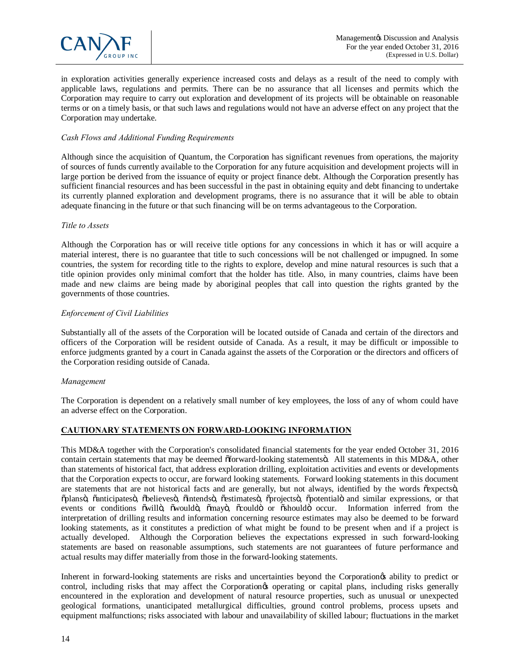

in exploration activities generally experience increased costs and delays as a result of the need to comply with applicable laws, regulations and permits. There can be no assurance that all licenses and permits which the Corporation may require to carry out exploration and development of its projects will be obtainable on reasonable terms or on a timely basis, or that such laws and regulations would not have an adverse effect on any project that the Corporation may undertake.

#### *Cash Flows and Additional Funding Requirements*

Although since the acquisition of Quantum, the Corporation has significant revenues from operations, the majority of sources of funds currently available to the Corporation for any future acquisition and development projects will in large portion be derived from the issuance of equity or project finance debt. Although the Corporation presently has sufficient financial resources and has been successful in the past in obtaining equity and debt financing to undertake its currently planned exploration and development programs, there is no assurance that it will be able to obtain adequate financing in the future or that such financing will be on terms advantageous to the Corporation.

#### *Title to Assets*

Although the Corporation has or will receive title options for any concessions in which it has or will acquire a material interest, there is no guarantee that title to such concessions will be not challenged or impugned. In some countries, the system for recording title to the rights to explore, develop and mine natural resources is such that a title opinion provides only minimal comfort that the holder has title. Also, in many countries, claims have been made and new claims are being made by aboriginal peoples that call into question the rights granted by the governments of those countries.

#### *Enforcement of Civil Liabilities*

Substantially all of the assets of the Corporation will be located outside of Canada and certain of the directors and officers of the Corporation will be resident outside of Canada. As a result, it may be difficult or impossible to enforce judgments granted by a court in Canada against the assets of the Corporation or the directors and officers of the Corporation residing outside of Canada.

#### *Management*

The Corporation is dependent on a relatively small number of key employees, the loss of any of whom could have an adverse effect on the Corporation.

### **CAUTIONARY STATEMENTS ON FORWARD-LOOKING INFORMATION**

This MD&A together with the Corporation's consolidated financial statements for the year ended October 31, 2016 contain certain statements that may be deemed  $\tilde{\sigma}$ forward-looking statements $\ddot{\sigma}$ . All statements in this MD&A, other than statements of historical fact, that address exploration drilling, exploitation activities and events or developments that the Corporation expects to occur, are forward looking statements. Forward looking statements in this document are statements that are not historical facts and are generally, but not always, identified by the words  $\tilde{o}$ expects $\ddot{o}$ , "plans", "anticipates", "believes", "intends", "estimates", "projects", "potential" and similar expressions, or that events or conditions õwillö, õwouldö, õmayö, õcouldö or õshouldö occur. Information inferred from the interpretation of drilling results and information concerning resource estimates may also be deemed to be forward looking statements, as it constitutes a prediction of what might be found to be present when and if a project is actually developed. Although the Corporation believes the expectations expressed in such forward-looking statements are based on reasonable assumptions, such statements are not guarantees of future performance and actual results may differ materially from those in the forward-looking statements.

Inherent in forward-looking statements are risks and uncertainties beyond the Corporation's ability to predict or control, including risks that may affect the Corporation operating or capital plans, including risks generally encountered in the exploration and development of natural resource properties, such as unusual or unexpected geological formations, unanticipated metallurgical difficulties, ground control problems, process upsets and equipment malfunctions; risks associated with labour and unavailability of skilled labour; fluctuations in the market